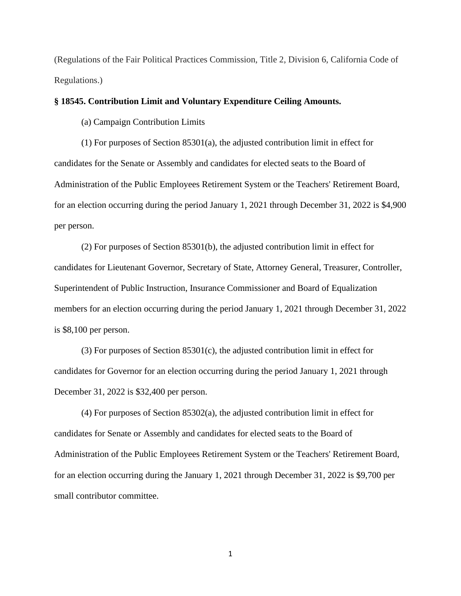(Regulations of the Fair Political Practices Commission, Title 2, Division 6, California Code of Regulations.)

## **§ 18545. Contribution Limit and Voluntary Expenditure Ceiling Amounts.**

(a) Campaign Contribution Limits

(1) For purposes of Section 85301(a), the adjusted contribution limit in effect for candidates for the Senate or Assembly and candidates for elected seats to the Board of Administration of the Public Employees Retirement System or the Teachers' Retirement Board, for an election occurring during the period January 1, 2021 through December 31, 2022 is \$4,900 per person.

(2) For purposes of Section 85301(b), the adjusted contribution limit in effect for candidates for Lieutenant Governor, Secretary of State, Attorney General, Treasurer, Controller, Superintendent of Public Instruction, Insurance Commissioner and Board of Equalization members for an election occurring during the period January 1, 2021 through December 31, 2022 is \$8,100 per person.

(3) For purposes of Section 85301(c), the adjusted contribution limit in effect for candidates for Governor for an election occurring during the period January 1, 2021 through December 31, 2022 is \$32,400 per person.

(4) For purposes of Section 85302(a), the adjusted contribution limit in effect for candidates for Senate or Assembly and candidates for elected seats to the Board of Administration of the Public Employees Retirement System or the Teachers' Retirement Board, for an election occurring during the January 1, 2021 through December 31, 2022 is \$9,700 per small contributor committee.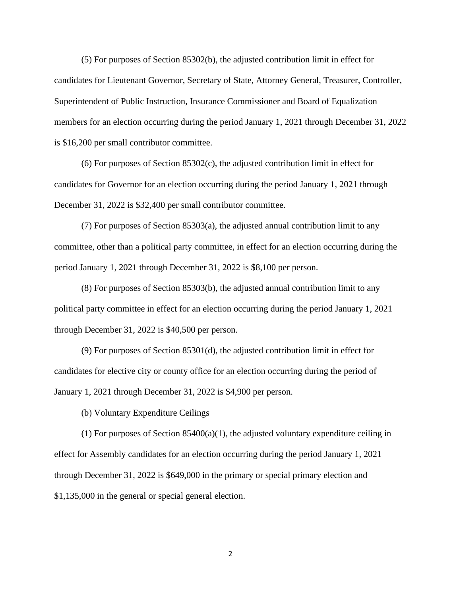(5) For purposes of Section 85302(b), the adjusted contribution limit in effect for candidates for Lieutenant Governor, Secretary of State, Attorney General, Treasurer, Controller, Superintendent of Public Instruction, Insurance Commissioner and Board of Equalization members for an election occurring during the period January 1, 2021 through December 31, 2022 is \$16,200 per small contributor committee.

(6) For purposes of Section 85302(c), the adjusted contribution limit in effect for candidates for Governor for an election occurring during the period January 1, 2021 through December 31, 2022 is \$32,400 per small contributor committee.

(7) For purposes of Section 85303(a), the adjusted annual contribution limit to any committee, other than a political party committee, in effect for an election occurring during the period January 1, 2021 through December 31, 2022 is \$8,100 per person.

(8) For purposes of Section 85303(b), the adjusted annual contribution limit to any political party committee in effect for an election occurring during the period January 1, 2021 through December 31, 2022 is \$40,500 per person.

(9) For purposes of Section 85301(d), the adjusted contribution limit in effect for candidates for elective city or county office for an election occurring during the period of January 1, 2021 through December 31, 2022 is \$4,900 per person.

(b) Voluntary Expenditure Ceilings

(1) For purposes of Section  $85400(a)(1)$ , the adjusted voluntary expenditure ceiling in effect for Assembly candidates for an election occurring during the period January 1, 2021 through December 31, 2022 is \$649,000 in the primary or special primary election and \$1,135,000 in the general or special general election.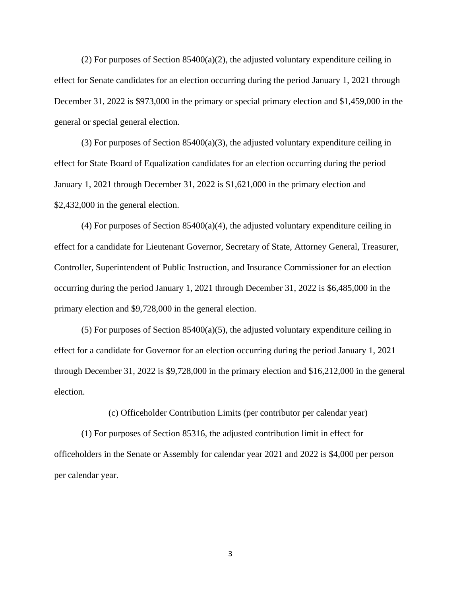(2) For purposes of Section  $85400(a)(2)$ , the adjusted voluntary expenditure ceiling in effect for Senate candidates for an election occurring during the period January 1, 2021 through December 31, 2022 is \$973,000 in the primary or special primary election and \$1,459,000 in the general or special general election.

(3) For purposes of Section  $85400(a)(3)$ , the adjusted voluntary expenditure ceiling in effect for State Board of Equalization candidates for an election occurring during the period January 1, 2021 through December 31, 2022 is \$1,621,000 in the primary election and \$2,432,000 in the general election.

 $(4)$  For purposes of Section 85400 $(a)(4)$ , the adjusted voluntary expenditure ceiling in effect for a candidate for Lieutenant Governor, Secretary of State, Attorney General, Treasurer, Controller, Superintendent of Public Instruction, and Insurance Commissioner for an election occurring during the period January 1, 2021 through December 31, 2022 is \$6,485,000 in the primary election and \$9,728,000 in the general election.

 $(5)$  For purposes of Section 85400(a)(5), the adjusted voluntary expenditure ceiling in effect for a candidate for Governor for an election occurring during the period January 1, 2021 through December 31, 2022 is \$9,728,000 in the primary election and \$16,212,000 in the general election.

(c) Officeholder Contribution Limits (per contributor per calendar year)

(1) For purposes of Section 85316, the adjusted contribution limit in effect for officeholders in the Senate or Assembly for calendar year 2021 and 2022 is \$4,000 per person per calendar year.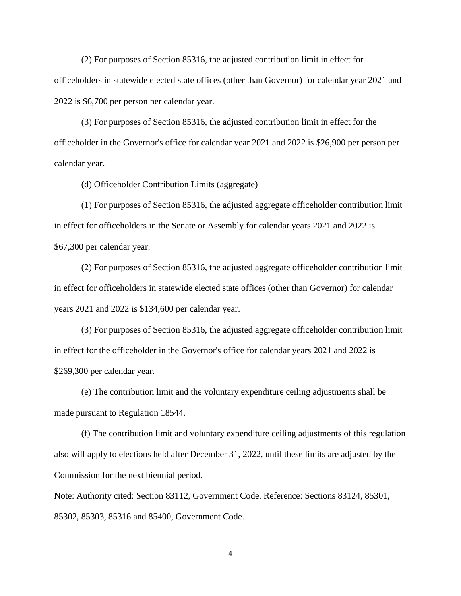(2) For purposes of Section 85316, the adjusted contribution limit in effect for officeholders in statewide elected state offices (other than Governor) for calendar year 2021 and 2022 is \$6,700 per person per calendar year.

(3) For purposes of Section 85316, the adjusted contribution limit in effect for the officeholder in the Governor's office for calendar year 2021 and 2022 is \$26,900 per person per calendar year.

(d) Officeholder Contribution Limits (aggregate)

(1) For purposes of Section 85316, the adjusted aggregate officeholder contribution limit in effect for officeholders in the Senate or Assembly for calendar years 2021 and 2022 is \$67,300 per calendar year.

(2) For purposes of Section 85316, the adjusted aggregate officeholder contribution limit in effect for officeholders in statewide elected state offices (other than Governor) for calendar years 2021 and 2022 is \$134,600 per calendar year.

(3) For purposes of Section 85316, the adjusted aggregate officeholder contribution limit in effect for the officeholder in the Governor's office for calendar years 2021 and 2022 is \$269,300 per calendar year.

(e) The contribution limit and the voluntary expenditure ceiling adjustments shall be made pursuant to Regulation 18544.

(f) The contribution limit and voluntary expenditure ceiling adjustments of this regulation also will apply to elections held after December 31, 2022, until these limits are adjusted by the Commission for the next biennial period.

Note: Authority cited: Section 83112, Government Code. Reference: Sections 83124, 85301, 85302, 85303, 85316 and 85400, Government Code.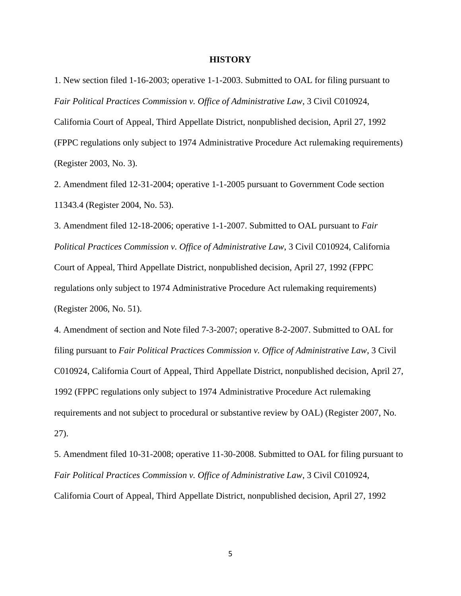## **HISTORY**

1. New section filed 1-16-2003; operative 1-1-2003. Submitted to OAL for filing pursuant to *Fair Political Practices Commission v. Office of Administrative Law*, 3 Civil C010924,

California Court of Appeal, Third Appellate District, nonpublished decision, April 27, 1992 (FPPC regulations only subject to 1974 Administrative Procedure Act rulemaking requirements)

(Register 2003, No. 3).

2. Amendment filed 12-31-2004; operative 1-1-2005 pursuant to Government Code section 11343.4 (Register 2004, No. 53).

3. Amendment filed 12-18-2006; operative 1-1-2007. Submitted to OAL pursuant to *Fair Political Practices Commission v. Office of Administrative Law*, 3 Civil C010924, California Court of Appeal, Third Appellate District, nonpublished decision, April 27, 1992 (FPPC regulations only subject to 1974 Administrative Procedure Act rulemaking requirements) (Register 2006, No. 51).

4. Amendment of section and Note filed 7-3-2007; operative 8-2-2007. Submitted to OAL for filing pursuant to *Fair Political Practices Commission v. Office of Administrative Law*, 3 Civil C010924, California Court of Appeal, Third Appellate District, nonpublished decision, April 27, 1992 (FPPC regulations only subject to 1974 Administrative Procedure Act rulemaking requirements and not subject to procedural or substantive review by OAL) (Register 2007, No. 27).

5. Amendment filed 10-31-2008; operative 11-30-2008. Submitted to OAL for filing pursuant to *Fair Political Practices Commission v. Office of Administrative Law*, 3 Civil C010924, California Court of Appeal, Third Appellate District, nonpublished decision, April 27, 1992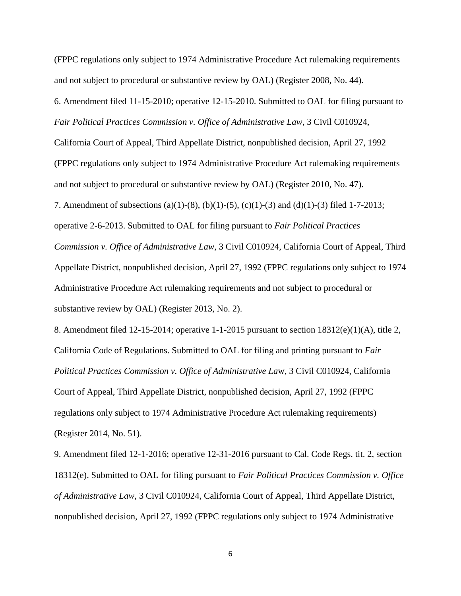(FPPC regulations only subject to 1974 Administrative Procedure Act rulemaking requirements and not subject to procedural or substantive review by OAL) (Register 2008, No. 44).

6. Amendment filed 11-15-2010; operative 12-15-2010. Submitted to OAL for filing pursuant to *Fair Political Practices Commission v. Office of Administrative Law*, 3 Civil C010924,

California Court of Appeal, Third Appellate District, nonpublished decision, April 27, 1992

(FPPC regulations only subject to 1974 Administrative Procedure Act rulemaking requirements

and not subject to procedural or substantive review by OAL) (Register 2010, No. 47).

7. Amendment of subsections (a)(1)-(8), (b)(1)-(5), (c)(1)-(3) and (d)(1)-(3) filed 1-7-2013;

operative 2-6-2013. Submitted to OAL for filing pursuant to *Fair Political Practices* 

*Commission v. Office of Administrative Law*, 3 Civil C010924, California Court of Appeal, Third Appellate District, nonpublished decision, April 27, 1992 (FPPC regulations only subject to 1974 Administrative Procedure Act rulemaking requirements and not subject to procedural or substantive review by OAL) (Register 2013, No. 2).

8. Amendment filed 12-15-2014; operative 1-1-2015 pursuant to section  $18312(e)(1)(A)$ , title 2, California Code of Regulations. Submitted to OAL for filing and printing pursuant to *Fair Political Practices Commission v. Office of Administrative La*w, 3 Civil C010924, California Court of Appeal, Third Appellate District, nonpublished decision, April 27, 1992 (FPPC regulations only subject to 1974 Administrative Procedure Act rulemaking requirements) (Register 2014, No. 51).

9. Amendment filed 12-1-2016; operative 12-31-2016 pursuant to Cal. Code Regs. tit. 2, section 18312(e). Submitted to OAL for filing pursuant to *Fair Political Practices Commission v. Office of Administrative Law*, 3 Civil C010924, California Court of Appeal, Third Appellate District, nonpublished decision, April 27, 1992 (FPPC regulations only subject to 1974 Administrative